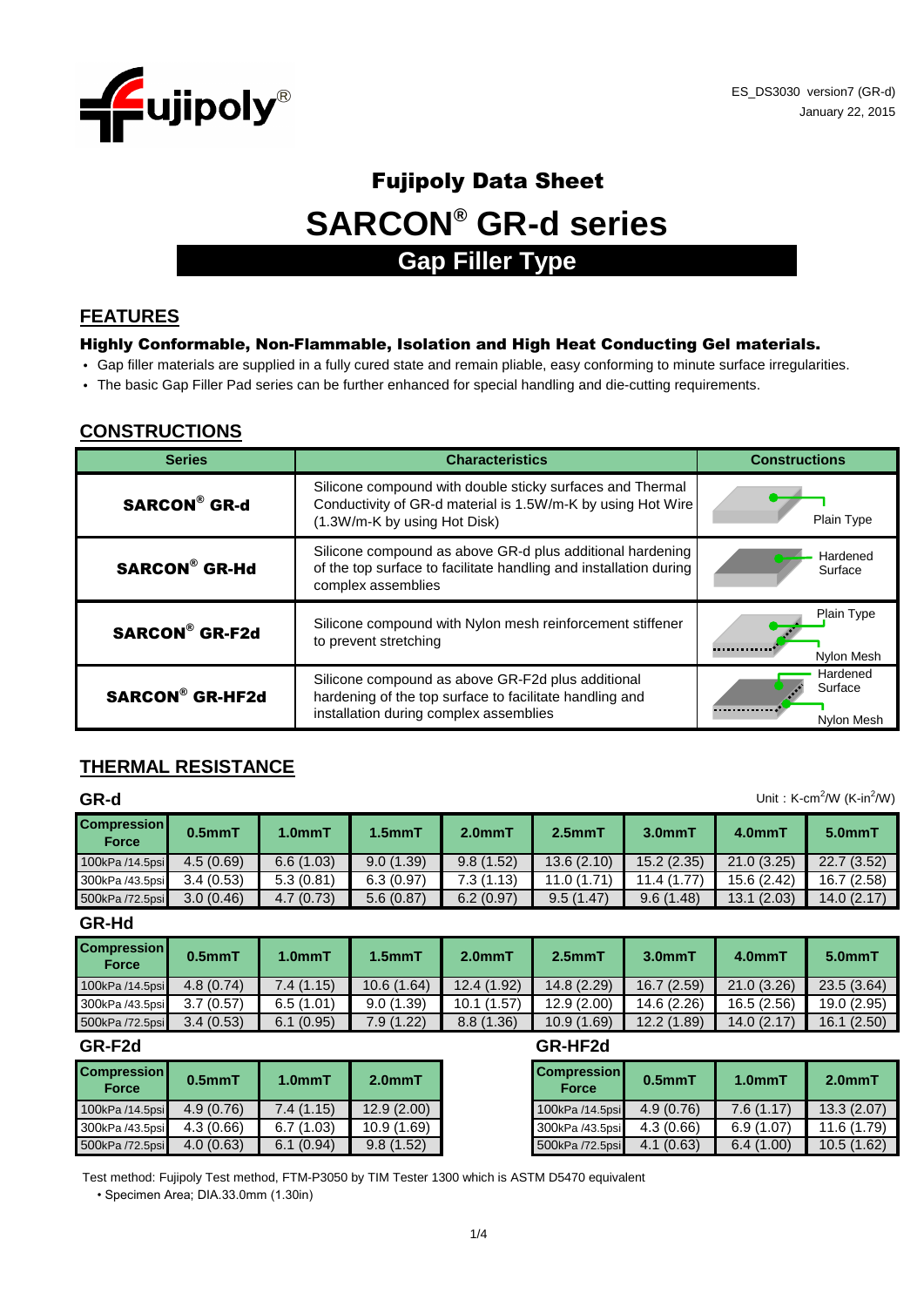

# Fujipoly Data Sheet **SARCON® GR-d series**

# **Gap Filler Type**

#### **FEATURES**

#### Highly Conformable, Non-Flammable, Isolation and High Heat Conducting Gel materials.

- Gap filler materials are supplied in a fully cured state and remain pliable, easy conforming to minute surface irregularities.
- The basic Gap Filler Pad series can be further enhanced for special handling and die-cutting requirements.

#### **CONSTRUCTIONS**

| <b>Series</b>          | <b>Characteristics</b>                                                                                                                                   | <b>Constructions</b>              |
|------------------------|----------------------------------------------------------------------------------------------------------------------------------------------------------|-----------------------------------|
| <b>SARCON® GR-d</b>    | Silicone compound with double sticky surfaces and Thermal<br>Conductivity of GR-d material is 1.5W/m-K by using Hot Wire<br>(1.3W/m-K by using Hot Disk) | Plain Type                        |
| <b>SARCON® GR-Hd</b>   | Silicone compound as above GR-d plus additional hardening<br>of the top surface to facilitate handling and installation during<br>complex assemblies     | Hardened<br>Surface               |
| <b>SARCON® GR-F2d</b>  | Silicone compound with Nylon mesh reinforcement stiffener<br>to prevent stretching                                                                       | Plain Type<br>Nylon Mesh          |
| <b>SARCON® GR-HF2d</b> | Silicone compound as above GR-F2d plus additional<br>hardening of the top surface to facilitate handling and<br>installation during complex assemblies   | Hardened<br>Surface<br>Nylon Mesh |

# **THERMAL RESISTANCE**

| Unit: K-cm <sup>2</sup> /W (K-in <sup>2</sup> /W)<br>GR-d |              |                     |           |           |            |            |            |             |
|-----------------------------------------------------------|--------------|---------------------|-----------|-----------|------------|------------|------------|-------------|
| <b>Compression</b><br>Force                               | $0.5$ mm $T$ | 1.0 <sub>mm</sub> T | $1.5mm$ T | $2.0mm$ T | $2.5mm$ T  | $3.0mm$ T  | 4.0mmT     | 5.0mmT      |
| 100kPa /14.5psi                                           | 4.5(0.69)    | 6.6(1.03)           | 9.0(1.39) | 9.8(1.52) | 13.6(2.10) | 15.2(2.35) | 21.0(3.25) | 22.7 (3.52) |
| 300kPa /43.5psi                                           | 3.4(0.53)    | 5.3(0.81)           | 6.3(0.97) | 7.3(1.13) | 11.0(1.71) | 11.4(1.77) | 15.6(2.42) | 16.7(2.58)  |
| 500kPa /72.5psi                                           | 3.0(0.46)    | 4.7(0.73)           | 5.6(0.87) | 6.2(0.97) | 9.5(1.47)  | 9.6(1.48)  | 13.1(2.03) | 14.0(2.17)  |

**GR-Hd**

| <b>Compression</b><br>Force | $0.5mm$ T | 1.0 <sub>mm</sub> T | $1.5mm$ T   | 2.0mm <sub>1</sub> | $2.5mm$ T  | 3.0 <sub>mm</sub> | 4.0mmT     | 5.0mmT      |
|-----------------------------|-----------|---------------------|-------------|--------------------|------------|-------------------|------------|-------------|
| 100kPa /14.5psi             | 4.8(0.74) | 7.4 (1.15)          | 10.6 (1.64) | 12.4 (1.92)        | 14.8(2.29) | 16.7(2.59)        | 21.0(3.26) | 23.5(3.64)  |
| 300kPa /43.5psi             | 3.7(0.57) | 6.5(1.01)           | 9.0(1.39)   | 10.1(1.57)         | 12.9(2.00) | 14.6 (2.26)       | 16.5(2.56) | 19.0 (2.95) |
| 500kPa /72.5psi             | 3.4(0.53) | 6.1(0.95)           | 7.9 (1.22)  | 8.8(1.36)          | 10.9(1.69) | 12.2(1.89)        | 14.0(2.17) | 16.1(2.50)  |

| <b>Compression</b><br><b>Force</b> | $0.5$ mm $T$ | 1.0 <sub>mm</sub> T | $2.0mm$ T  | <b>Compression</b><br><b>Force</b> | $0.5$ mm $T$ |
|------------------------------------|--------------|---------------------|------------|------------------------------------|--------------|
| 100kPa /14.5psi                    | 4.9(0.76)    | 7.4(1.15)           | 12.9(2.00) | 100kPa /14.5psi                    | 4.9(0.76)    |
| 300kPa /43.5psi                    | 4.3(0.66)    | 6.7(1.03)           | 10.9(1.69) | 300kPa /43.5psi                    | 4.3(0.66)    |
| 500kPa /72.5psi                    | 4.0(0.63)    | 6.1(0.94)           | 9.8(1.52)  | 500kPa /72.5psi                    | 4.1(0.63)    |

#### **GR-F2d GR-HF2d**

| <b>Compression</b><br><b>Force</b> | $0.5$ mm $T$ | 1.0 <sub>mm</sub> T | $2.0mm$ T   |  |
|------------------------------------|--------------|---------------------|-------------|--|
| 100kPa /14.5psi                    | 4.9(0.76)    | 7.6(1.17)           | 13.3(2.07)  |  |
| 300kPa /43.5psi                    | 4.3(0.66)    | 6.9(1.07)           | 11.6 (1.79) |  |
| 500kPa /72.5psi                    | 4.1(0.63)    | 6.4(1.00)           | 10.5(1.62)  |  |

Test method: Fujipoly Test method, FTM-P3050 by TIM Tester 1300 which is ASTM D5470 equivalent

• Specimen Area; DIA.33.0mm (1.30in)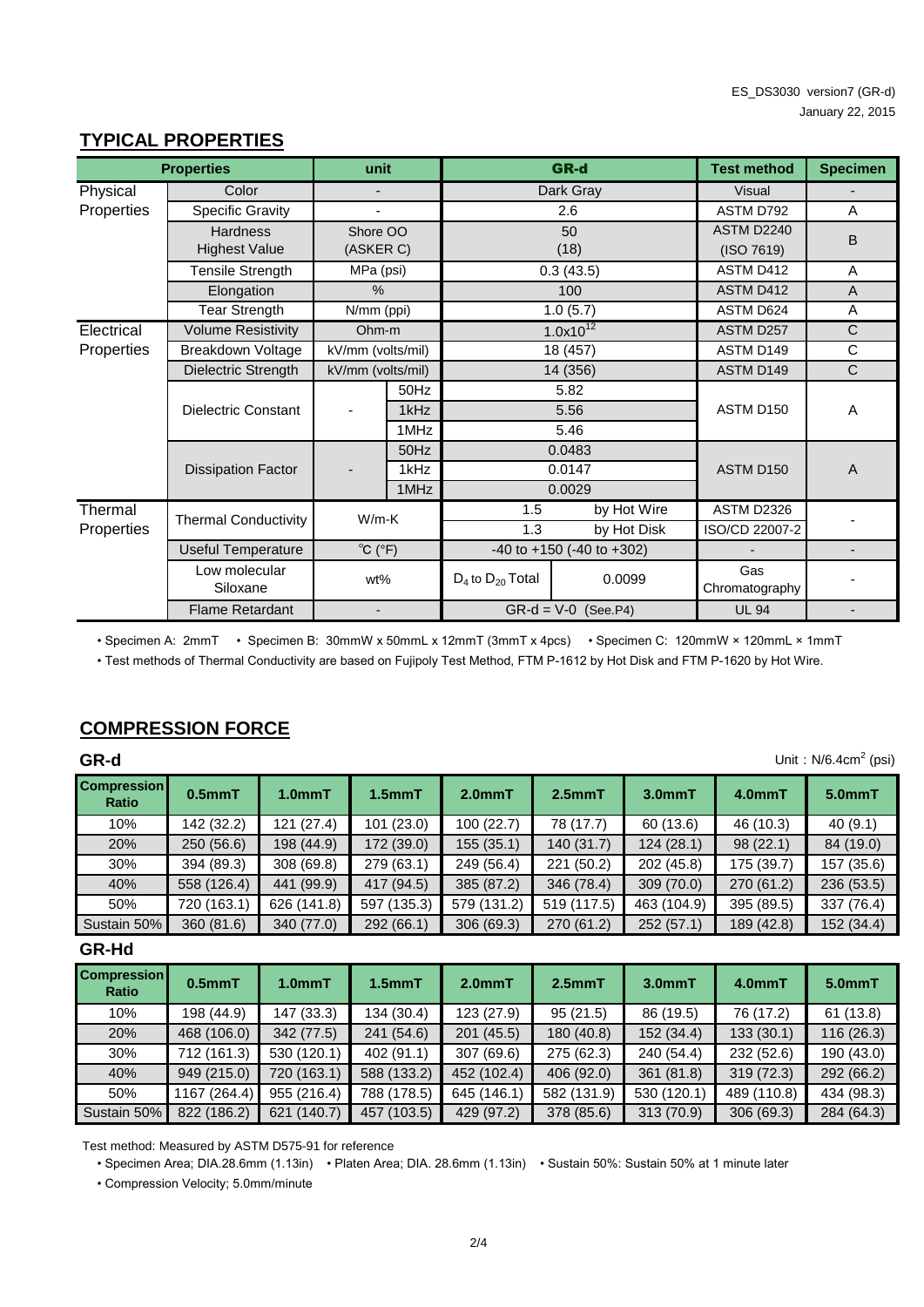#### **TYPICAL PROPERTIES**

|            | <b>Properties</b>           | unit                        |           |                         | GR-d                                | <b>Test method</b>    | <b>Specimen</b>          |
|------------|-----------------------------|-----------------------------|-----------|-------------------------|-------------------------------------|-----------------------|--------------------------|
| Physical   | Color                       | $\overline{\phantom{a}}$    |           |                         | Dark Gray                           | Visual                |                          |
| Properties | <b>Specific Gravity</b>     | ۰                           |           |                         | 2.6                                 | ASTM D792             | A                        |
|            | <b>Hardness</b>             | Shore OO                    |           |                         | 50                                  | ASTM D2240            | B                        |
|            | <b>Highest Value</b>        |                             | (ASKER C) |                         | (18)                                | (ISO 7619)            |                          |
|            | Tensile Strength            | MPa (psi)                   |           |                         | 0.3(43.5)                           | ASTM D412             | A                        |
|            | Elongation                  | $\%$                        |           |                         | 100                                 | ASTM D412             | A                        |
|            | <b>Tear Strength</b>        | N/mm (ppi)                  |           |                         | 1.0(5.7)                            | ASTM D624             | A                        |
| Electrical | <b>Volume Resistivity</b>   | Ohm-m                       |           |                         | $1.0x10^{12}$                       | ASTM D257             | C                        |
| Properties | Breakdown Voltage           | kV/mm (volts/mil)           |           |                         | 18 (457)                            | ASTM D149             | $\mathsf C$              |
|            | Dielectric Strength         | kV/mm (volts/mil)           |           |                         | 14 (356)                            | ASTM D149             | $\mathsf{C}$             |
|            |                             |                             | 50Hz      |                         | 5.82                                |                       |                          |
|            | Dielectric Constant         |                             | 1kHz      |                         | 5.56                                | ASTM D150             | $\overline{A}$           |
|            |                             |                             | 1MHz      |                         | 5.46                                |                       |                          |
|            |                             |                             | 50Hz      |                         | 0.0483                              |                       |                          |
|            | <b>Dissipation Factor</b>   |                             | 1kHz      |                         | 0.0147                              | ASTM D150             | $\overline{A}$           |
|            |                             |                             | 1MHz      |                         | 0.0029                              |                       |                          |
| Thermal    | <b>Thermal Conductivity</b> | $W/m-K$                     |           | 1.5                     | by Hot Wire                         | ASTM D2326            |                          |
| Properties |                             |                             |           | 1.3                     | by Hot Disk                         | ISO/CD 22007-2        |                          |
|            | Useful Temperature          | $^{\circ}C$ ( $^{\circ}F$ ) |           |                         | $-40$ to $+150$ ( $-40$ to $+302$ ) |                       | $\overline{\phantom{a}}$ |
|            | Low molecular<br>Siloxane   | wt%                         |           | $D_4$ to $D_{20}$ Total | 0.0099                              | Gas<br>Chromatography |                          |
|            | <b>Flame Retardant</b>      |                             |           |                         | $GR-d = V-0$ (See.P4)               | <b>UL 94</b>          |                          |

• Specimen A: 2mmT • Specimen B: 30mmW x 50mmL x 12mmT (3mmT x 4pcs) • Specimen C: 120mmW × 120mmL × 1mmT

• Test methods of Thermal Conductivity are based on Fujipoly Test Method, FTM P-1612 by Hot Disk and FTM P-1620 by Hot Wire.

### **COMPRESSION FORCE**

| GR-d                        | Unit: $N/6.4cm2$ (psi) |                     |              |             |             |             |            |            |  |
|-----------------------------|------------------------|---------------------|--------------|-------------|-------------|-------------|------------|------------|--|
| <b>Compression</b><br>Ratio | 0.5 <sub>mm</sub> T    | 1.0 <sub>mm</sub> T | $1.5$ mm $T$ | $2.0mm$ T   | $2.5mm$ T   | $3.0mm$ T   | 4.0mmT     | $5.0mm$ T  |  |
| 10%                         | 142 (32.2)             | 121(27.4)           | 101(23.0)    | 100 (22.7)  | 78 (17.7)   | 60 (13.6)   | 46 (10.3)  | 40(9.1)    |  |
| 20%                         | 250(56.6)              | 198 (44.9)          | 172 (39.0)   | 155(35.1)   | 140 (31.7)  | 124(28.1)   | 98 (22.1)  | 84 (19.0)  |  |
| 30%                         | 394 (89.3)             | 308 (69.8)          | 279 (63.1)   | 249 (56.4)  | 221 (50.2)  | 202 (45.8)  | 175 (39.7) | 157 (35.6) |  |
| 40%                         | 558 (126.4)            | 441 (99.9)          | 417 (94.5)   | 385 (87.2)  | 346 (78.4)  | 309(70.0)   | 270 (61.2) | 236 (53.5) |  |
| 50%                         | 720 (163.1)            | 626 (141.8)         | 597 (135.3)  | 579 (131.2) | 519 (117.5) | 463 (104.9) | 395 (89.5) | 337 (76.4) |  |
| Sustain 50%                 | 360(81.6)              | 340 (77.0)          | 292 (66.1)   | 306(69.3)   | 270 (61.2)  | 252(57.1)   | 189 (42.8) | 152 (34.4) |  |

#### **GR-Hd**

| <b>Compression</b><br><b>Ratio</b> | $0.5mm$ T    | 1.0 <sub>mm</sub> T | $1.5$ mm $T$ | 2.0 <sub>mm</sub> T | $2.5mm$ T   | $3.0mm$ T   | $4.0mm$ T   | $5.0mm$ T  |
|------------------------------------|--------------|---------------------|--------------|---------------------|-------------|-------------|-------------|------------|
| 10%                                | 198 (44.9)   | 147 (33.3)          | 134 (30.4)   | 123 (27.9)          | 95(21.5)    | 86 (19.5)   | 76 (17.2)   | 61(13.8)   |
| 20%                                | 468 (106.0)  | 342 (77.5)          | 241 (54.6)   | 201(45.5)           | 180 (40.8)  | 152 (34.4)  | 133(30.1)   | 116(26.3)  |
| 30%                                | 712 (161.3)  | 530 (120.1)         | 402 (91.1)   | 307 (69.6)          | 275 (62.3)  | 240 (54.4)  | 232 (52.6)  | 190 (43.0) |
| 40%                                | 949 (215.0)  | 720 (163.1)         | 588 (133.2)  | 452 (102.4)         | 406 (92.0)  | 361(81.8)   | 319 (72.3)  | 292 (66.2) |
| 50%                                | 1167 (264.4) | 955 (216.4)         | 788 (178.5)  | 645 (146.1)         | 582 (131.9) | 530 (120.1) | 489 (110.8) | 434 (98.3) |
| Sustain 50%                        | 822 (186.2)  | 621 (140.7)         | 457 (103.5)  | 429 (97.2)          | 378 (85.6)  | 313 (70.9)  | 306 (69.3)  | 284 (64.3) |

Test method: Measured by ASTM D575-91 for reference

• Specimen Area; DIA.28.6mm (1.13in) • Platen Area; DIA. 28.6mm (1.13in) • Sustain 50%: Sustain 50% at 1 minute later

• Compression Velocity; 5.0mm/minute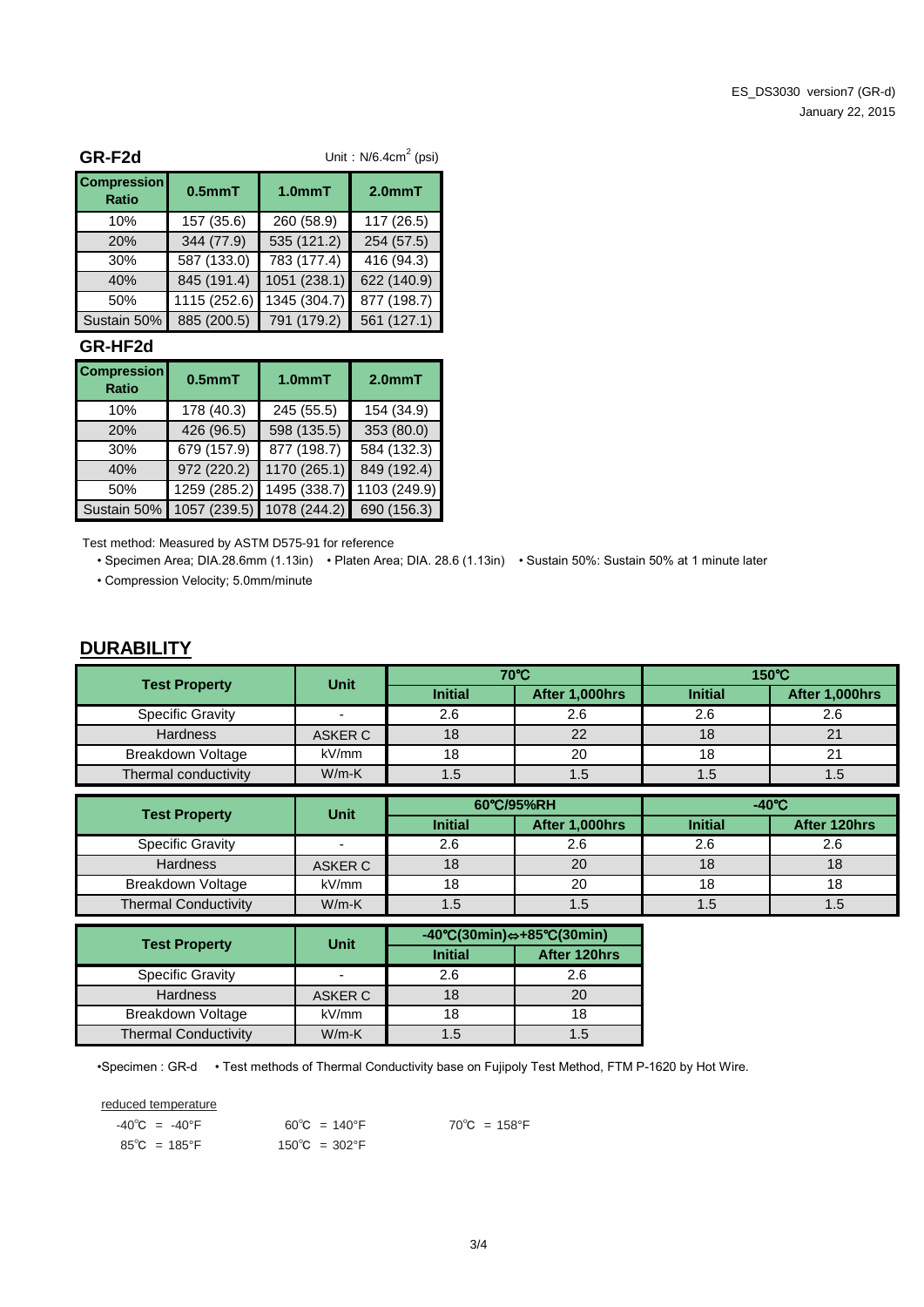| GR-F2d                             | Unit: $N/6.4cm2$ (psi) |              |              |  |  |  |
|------------------------------------|------------------------|--------------|--------------|--|--|--|
| <b>Compression</b><br><b>Ratio</b> | $0.5mm$ T              | 1.0mmT       | $2.0mm$ T    |  |  |  |
| 10%                                | 157 (35.6)             | 260 (58.9)   | 117 (26.5)   |  |  |  |
| 20%                                | 344 (77.9)             | 535 (121.2)  | 254 (57.5)   |  |  |  |
| 30%                                | 587 (133.0)            | 783 (177.4)  | 416 $(94.3)$ |  |  |  |
| 40%                                | 845 (191.4)            | 1051 (238.1) | 622 (140.9)  |  |  |  |
| 50%                                | 1115 (252.6)           | 1345 (304.7) | 877 (198.7)  |  |  |  |
| Sustain 50%                        | 885 (200.5)            | 791 (179.2)  | 561 (127.1)  |  |  |  |

#### **GR-HF2d**

| <b>Compression</b><br><b>Ratio</b> | $0.5mm$ T    | $1.0mm$ T    | $2.0mm$ T    |
|------------------------------------|--------------|--------------|--------------|
| 10%                                | 178 (40.3)   | 245 (55.5)   | 154 (34.9)   |
| 20%                                | 426 (96.5)   | 598 (135.5)  | 353 (80.0)   |
| 30%                                | 679 (157.9)  | 877 (198.7)  | 584 (132.3)  |
| 40%                                | 972 (220.2)  | 1170 (265.1) | 849 (192.4)  |
| 50%                                | 1259 (285.2) | 1495 (338.7) | 1103 (249.9) |
| Sustain 50%                        | 1057 (239.5) | 1078 (244.2) | 690 (156.3)  |

Test method: Measured by ASTM D575-91 for reference

• Specimen Area; DIA.28.6mm (1.13in) • Platen Area; DIA. 28.6 (1.13in) • Sustain 50%: Sustain 50% at 1 minute later • Compression Velocity; 5.0mm/minute

#### **DURABILITY**

| <b>Test Property</b>    | Unit    |                | 70°C           | $150^{\circ}$ C |                |  |
|-------------------------|---------|----------------|----------------|-----------------|----------------|--|
|                         |         | <b>Initial</b> | After 1,000hrs | <b>Initial</b>  | After 1,000hrs |  |
| <b>Specific Gravity</b> |         | 2.6            | 2.6            | 2.6             | 2.6            |  |
| <b>Hardness</b>         | ASKER C | 18             | 22             | 18              |                |  |
| Breakdown Voltage       | kV/mm   | 18             | 20             | 18              |                |  |
| Thermal conductivity    | $W/m-K$ | 1.5            | 1.5            | 1.5             | 1.5            |  |

| <b>Test Property</b>        | Unit    |                | 60°C/95%RH     |                | $-40^{\circ}$ C |
|-----------------------------|---------|----------------|----------------|----------------|-----------------|
|                             |         | <b>Initial</b> | After 1,000hrs | <b>Initial</b> | After 120hrs    |
| <b>Specific Gravity</b>     |         | 2.6            | 2.6            | 2.6            | 2.6             |
| <b>Hardness</b>             | ASKER C | 18             | 20             | 18             |                 |
| Breakdown Voltage           | kV/mm   | 18             | 20             | 18             |                 |
| <b>Thermal Conductivity</b> | $W/m-K$ | 1.5            | .5             | C. I           | ن. ا            |

| <b>Test Property</b>        | <b>Unit</b> | $-40^{\circ}C(30\text{min}) \Leftrightarrow +85^{\circ}C(30\text{min})$ |              |  |
|-----------------------------|-------------|-------------------------------------------------------------------------|--------------|--|
|                             |             | <b>Initial</b>                                                          | After 120hrs |  |
| <b>Specific Gravity</b>     |             | 2.6                                                                     | 2.6          |  |
| <b>Hardness</b>             | ASKER C     |                                                                         | 20           |  |
| <b>Breakdown Voltage</b>    | kV/mm       | 18                                                                      | 18           |  |
| <b>Thermal Conductivity</b> | $W/m-K$     | 1.5                                                                     | 1.5          |  |

•Specimen : GR-d • Test methods of Thermal Conductivity base on Fujipoly Test Method, FTM P-1620 by Hot Wire.

reduced temperature

| $-40^{\circ}$ C = $-40^{\circ}$ F | $60^{\circ}$ C = 140 $^{\circ}$ F | $70^{\circ}$ C = 158°F |
|-----------------------------------|-----------------------------------|------------------------|
| $85^{\circ}$ C = 185°F            | $150^{\circ}$ C = 302°F           |                        |